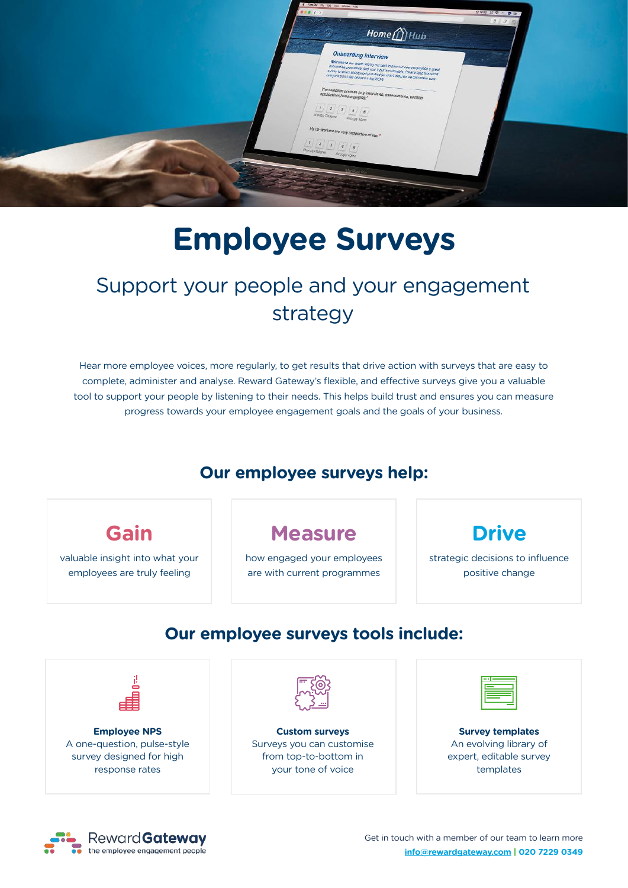

# **Employee Surveys**

## Support your people and your engagement strategy

Hear more employee voices, more regularly, to get results that drive action with surveys that are easy to complete, administer and analyse. Reward Gateway's flexible, and effective surveys give you a valuable tool to support your people by listening to their needs. This helps build trust and ensures you can measure progress towards your employee engagement goals and the goals of your business.

#### **Our employee surveys help:**